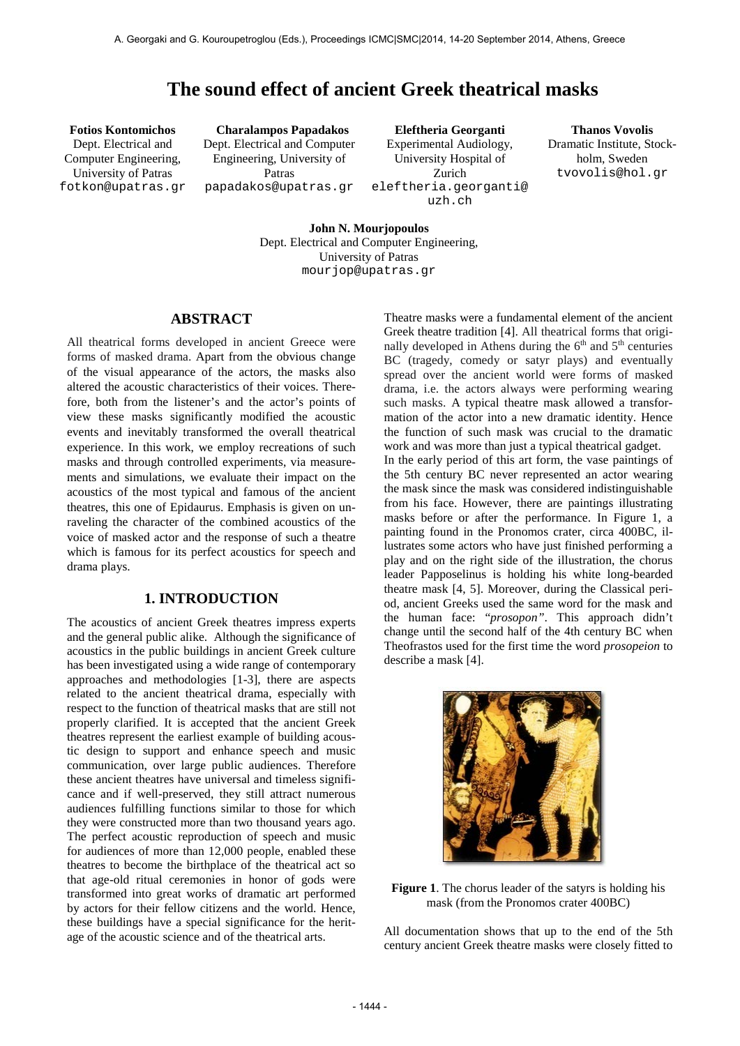# **The sound effect of ancient Greek theatrical masks**

Dept. Electrical and Computer Engineering, University of Patras [fotkon@upatras.gr](mailto:author1@smcnetwork.org?subject=SMC%202010%20paper)

**Fotios Kontomichos Charalampos Papadakos Eleftheria Georganti Thanos Vovolis** Dept. Electrical and Computer Engineering, University of Patras papadakos@upatras.gr

Experimental Audiology, University Hospital of Zurich eleftheria.georganti@ uzh.ch

Dramatic Institute, Stockholm, Sweden tvovolis@hol.gr

**John N. Mourjopoulos** Dept. Electrical and Computer Engineering, University of Patras mourjop@upatras.gr

# **ABSTRACT**

All theatrical forms developed in ancient Greece were forms of masked drama. Apart from the obvious change of the visual appearance of the actors, the masks also altered the acoustic characteristics of their voices. Therefore, both from the listener's and the actor's points of view these masks significantly modified the acoustic events and inevitably transformed the overall theatrical experience. In this work, we employ recreations of such masks and through controlled experiments, via measurements and simulations, we evaluate their impact on the acoustics of the most typical and famous of the ancient theatres, this one of Epidaurus. Emphasis is given on unraveling the character of the combined acoustics of the voice of masked actor and the response of such a theatre which is famous for its perfect acoustics for speech and drama plays.

# **1. INTRODUCTION**

The acoustics of ancient Greek theatres impress experts and the general public alike. Although the significance of acoustics in the public buildings in ancient Greek culture has been investigated using a wide range of contemporary approaches and methodologies [1-3], there are aspects related to the ancient theatrical drama, especially with respect to the function of theatrical masks that are still not properly clarified. It is accepted that the ancient Greek theatres represent the earliest example of building acoustic design to support and enhance speech and music communication, over large public audiences. Therefore these ancient theatres have universal and timeless significance and if well-preserved, they still attract numerous audiences fulfilling functions similar to those for which they were constructed more than two thousand years ago. The perfect acoustic reproduction of speech and music for audiences of more than 12,000 people, enabled these theatres to become the birthplace of the theatrical act so that age-old ritual ceremonies in honor of gods were transformed into great works of dramatic art performed by actors for their fellow citizens and the world. Hence, these buildings have a special significance for the heritage of the acoustic science and of the theatrical arts.

Theatre masks were a fundamental element of the ancient Greek theatre tradition [4]. All theatrical forms that originally developed in Athens during the  $6<sup>th</sup>$  and  $5<sup>th</sup>$  centuries BC (tragedy, comedy or satyr plays) and eventually spread over the ancient world were forms of masked drama, i.e. the actors always were performing wearing such masks. A typical theatre mask allowed a transformation of the actor into a new dramatic identity. Hence the function of such mask was crucial to the dramatic work and was more than just a typical theatrical gadget. In the early period of this art form, the vase paintings of the 5th century BC never represented an actor wearing the mask since the mask was considered indistinguishable from his face. However, there are paintings illustrating masks before or after the performance. In Figure 1, a painting found in the Pronomos crater, circa 400BC, illustrates some actors who have just finished performing a play and on the right side of the illustration, the chorus leader Papposelinus is holding his white long-bearded theatre mask [4, 5]. Moreover, during the Classical period, ancient Greeks used the same word for the mask and the human face: "*prosopon"*. This approach didn't change until the second half of the 4th century BC when Theofrastos used for the first time the word *prosopeion* to describe a mask [4].



**Figure 1**. The chorus leader of the satyrs is holding his mask (from the Pronomos crater 400BC)

All documentation shows that up to the end of the 5th century ancient Greek theatre masks were closely fitted to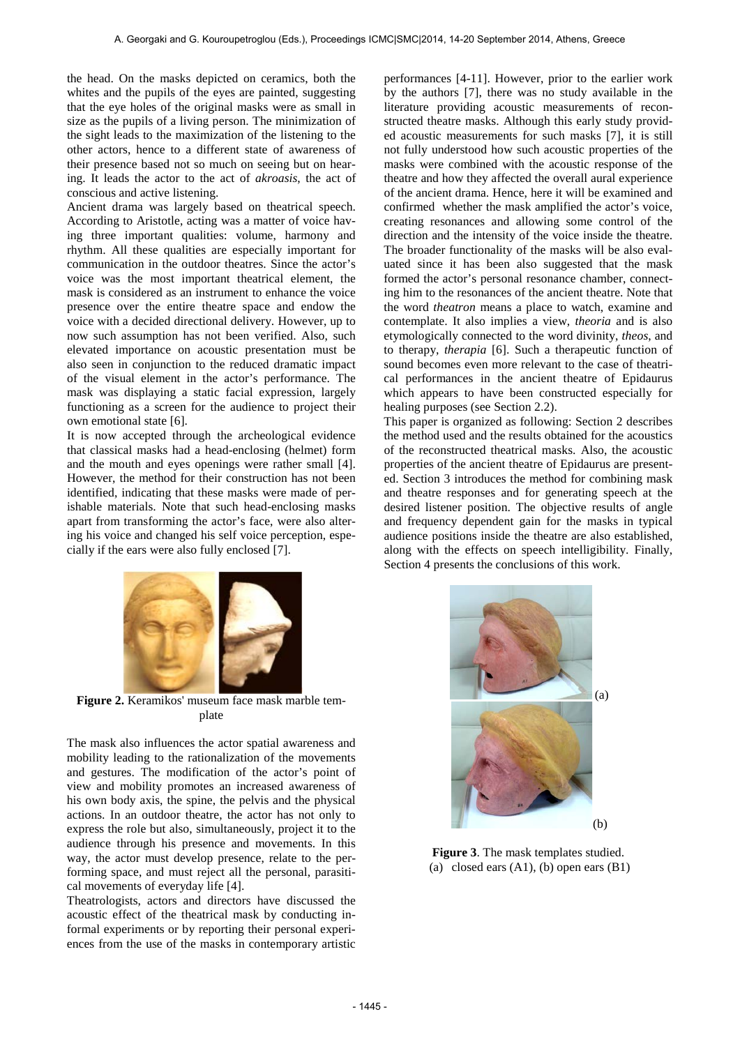the head. On the masks depicted on ceramics, both the whites and the pupils of the eyes are painted, suggesting that the eye holes of the original masks were as small in size as the pupils of a living person. The minimization of the sight leads to the maximization of the listening to the other actors, hence to a different state of awareness of their presence based not so much on seeing but on hearing. It leads the actor to the act of *akroasis*, the act of conscious and active listening.

Ancient drama was largely based on theatrical speech. According to Aristotle, acting was a matter of voice having three important qualities: volume, harmony and rhythm. All these qualities are especially important for communication in the outdoor theatres. Since the actor's voice was the most important theatrical element, the mask is considered as an instrument to enhance the voice presence over the entire theatre space and endow the voice with a decided directional delivery. However, up to now such assumption has not been verified. Also, such elevated importance on acoustic presentation must be also seen in conjunction to the reduced dramatic impact of the visual element in the actor's performance. The mask was displaying a static facial expression, largely functioning as a screen for the audience to project their own emotional state [6].

It is now accepted through the archeological evidence that classical masks had a head-enclosing (helmet) form and the mouth and eyes openings were rather small [4]. However, the method for their construction has not been identified, indicating that these masks were made of perishable materials. Note that such head-enclosing masks apart from transforming the actor's face, were also altering his voice and changed his self voice perception, especially if the ears were also fully enclosed [7].



This paper is organized as following: Section 2 describes the method used and the results obtained for the acoustics of the reconstructed theatrical masks. Also, the acoustic properties of the ancient theatre of Epidaurus are presented. Section 3 introduces the method for combining mask and theatre responses and for generating speech at the desired listener position. The objective results of angle and frequency dependent gain for the masks in typical audience positions inside the theatre are also established, along with the effects on speech intelligibility. Finally, Section 4 presents the conclusions of this work.



**Figure 2.** Keramikos' museum face mask marble template

The mask also influences the actor spatial awareness and mobility leading to the rationalization of the movements and gestures. The modification of the actor's point of view and mobility promotes an increased awareness of his own body axis, the spine, the pelvis and the physical actions. In an outdoor theatre, the actor has not only to express the role but also, simultaneously, project it to the audience through his presence and movements. In this way, the actor must develop presence, relate to the performing space, and must reject all the personal, parasitical movements of everyday life [4].

Theatrologists, actors and directors have discussed the acoustic effect of the theatrical mask by conducting informal experiments or by reporting their personal experiences from the use of the masks in contemporary artistic



**Figure 3**. The mask templates studied. (a) closed ears  $(A1)$ ,  $(b)$  open ears  $(B1)$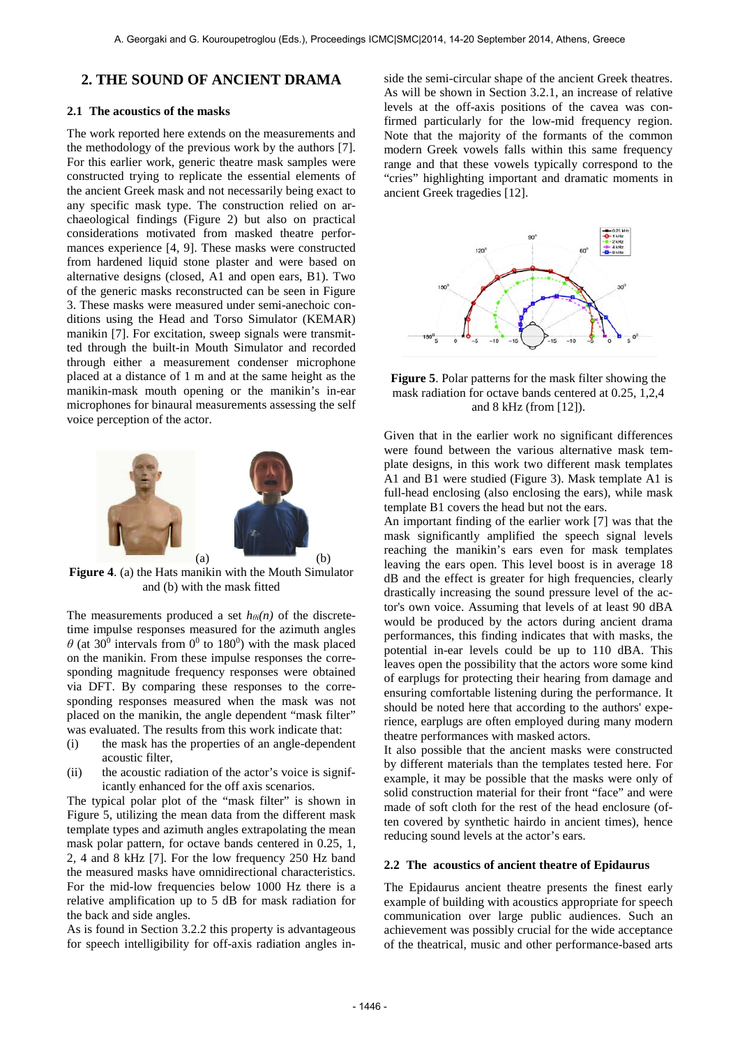# **2. THE SOUND OF ANCIENT DRAMA**

## **2.1 The acoustics of the masks**

The work reported here extends on the measurements and the methodology of the previous work by the authors [7]. For this earlier work, generic theatre mask samples were constructed trying to replicate the essential elements of the ancient Greek mask and not necessarily being exact to any specific mask type. The construction relied on archaeological findings (Figure 2) but also on practical considerations motivated from masked theatre performances experience [4, 9]. These masks were constructed from hardened liquid stone plaster and were based on alternative designs (closed, A1 and open ears, B1). Two of the generic masks reconstructed can be seen in Figure 3. These masks were measured under semi-anechoic conditions using the Head and Torso Simulator (KEMAR) manikin [7]. For excitation, sweep signals were transmitted through the built-in Mouth Simulator and recorded through either a measurement condenser microphone placed at a distance of 1 m and at the same height as the manikin-mask mouth opening or the manikin's in-ear microphones for binaural measurements assessing the self voice perception of the actor.



**Figure 4**. (a) the Hats manikin with the Mouth Simulator and (b) with the mask fitted

The measurements produced a set  $h_{\theta i}(n)$  of the discretetime impulse responses measured for the azimuth angles  $\theta$  (at 30<sup>0</sup> intervals from 0<sup>0</sup> to 180<sup>0</sup>) with the mask placed on the manikin. From these impulse responses the corresponding magnitude frequency responses were obtained via DFT. By comparing these responses to the corresponding responses measured when the mask was not placed on the manikin, the angle dependent "mask filter" was evaluated. The results from this work indicate that:

- (i) the mask has the properties of an angle-dependent acoustic filter,
- (ii) the acoustic radiation of the actor's voice is significantly enhanced for the off axis scenarios.

The typical polar plot of the "mask filter" is shown in Figure 5, utilizing the mean data from the different mask template types and azimuth angles extrapolating the mean mask polar pattern, for octave bands centered in 0.25, 1, 2, 4 and 8 kHz [7]. For the low frequency 250 Hz band the measured masks have omnidirectional characteristics. For the mid-low frequencies below 1000 Hz there is a relative amplification up to 5 dB for mask radiation for the back and side angles.

As is found in Section 3.2.2 this property is advantageous for speech intelligibility for off-axis radiation angles in-

side the semi-circular shape of the ancient Greek theatres. As will be shown in Section 3.2.1, an increase of relative levels at the off-axis positions of the cavea was confirmed particularly for the low-mid frequency region. Note that the majority of the formants of the common modern Greek vowels falls within this same frequency range and that these vowels typically correspond to the "cries" highlighting important and dramatic moments in ancient Greek tragedies [12].



**Figure 5**. Polar patterns for the mask filter showing the mask radiation for octave bands centered at 0.25, 1,2,4 and 8 kHz (from [12]).

Given that in the earlier work no significant differences were found between the various alternative mask template designs, in this work two different mask templates A1 and B1 were studied (Figure 3). Mask template A1 is full-head enclosing (also enclosing the ears), while mask template B1 covers the head but not the ears.

An important finding of the earlier work [7] was that the mask significantly amplified the speech signal levels reaching the manikin's ears even for mask templates leaving the ears open. This level boost is in average 18 dB and the effect is greater for high frequencies, clearly drastically increasing the sound pressure level of the actor's own voice. Assuming that levels of at least 90 dBA would be produced by the actors during ancient drama performances, this finding indicates that with masks, the potential in-ear levels could be up to 110 dBA. This leaves open the possibility that the actors wore some kind of earplugs for protecting their hearing from damage and ensuring comfortable listening during the performance. It should be noted here that according to the authors' experience, earplugs are often employed during many modern theatre performances with masked actors.

It also possible that the ancient masks were constructed by different materials than the templates tested here. For example, it may be possible that the masks were only of solid construction material for their front "face" and were made of soft cloth for the rest of the head enclosure (often covered by synthetic hairdo in ancient times), hence reducing sound levels at the actor's ears.

## **2.2 The acoustics of ancient theatre of Epidaurus**

The Epidaurus ancient theatre presents the finest early example of building with acoustics appropriate for speech communication over large public audiences. Such an achievement was possibly crucial for the wide acceptance of the theatrical, music and other performance-based arts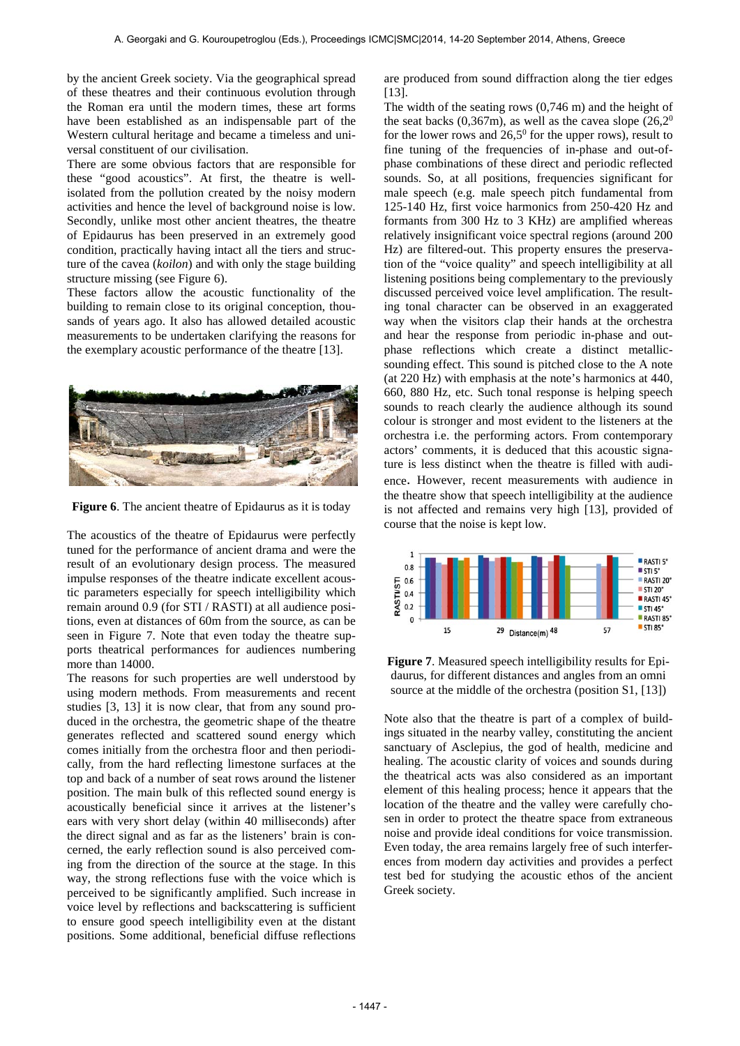by the ancient Greek society. Via the geographical spread of these theatres and their continuous evolution through the Roman era until the modern times, these art forms have been established as an indispensable part of the Western cultural heritage and became a timeless and universal constituent of our civilisation.

There are some obvious factors that are responsible for these "good acoustics". At first, the theatre is wellisolated from the pollution created by the noisy modern activities and hence the level of background noise is low. Secondly, unlike most other ancient theatres, the theatre of Epidaurus has been preserved in an extremely good condition, practically having intact all the tiers and structure of the cavea (*koilon*) and with only the stage building structure missing (see Figure 6).

These factors allow the acoustic functionality of the building to remain close to its original conception, thousands of years ago. It also has allowed detailed acoustic measurements to be undertaken clarifying the reasons for the exemplary acoustic performance of the theatre [13].



**Figure 6**. The ancient theatre of Epidaurus as it is today

The acoustics of the theatre of Epidaurus were perfectly tuned for the performance of ancient drama and were the result of an evolutionary design process. The measured impulse responses of the theatre indicate excellent acoustic parameters especially for speech intelligibility which remain around 0.9 (for STI / RASTI) at all audience positions, even at distances of 60m from the source, as can be seen in Figure 7. Note that even today the theatre supports theatrical performances for audiences numbering more than 14000.

The reasons for such properties are well understood by using modern methods. From measurements and recent studies [3, 13] it is now clear, that from any sound produced in the orchestra, the geometric shape of the theatre generates reflected and scattered sound energy which comes initially from the orchestra floor and then periodically, from the hard reflecting limestone surfaces at the top and back of a number of seat rows around the listener position. The main bulk of this reflected sound energy is acoustically beneficial since it arrives at the listener's ears with very short delay (within 40 milliseconds) after the direct signal and as far as the listeners' brain is concerned, the early reflection sound is also perceived coming from the direction of the source at the stage. In this way, the strong reflections fuse with the voice which is perceived to be significantly amplified. Such increase in voice level by reflections and backscattering is sufficient to ensure good speech intelligibility even at the distant positions. Some additional, beneficial diffuse reflections

are produced from sound diffraction along the tier edges [13].

The width of the seating rows (0,746 m) and the height of the seat backs  $(0,367m)$ , as well as the cavea slope  $(26,2^0)$ for the lower rows and  $26.5^{\circ}$  for the upper rows), result to fine tuning of the frequencies of in-phase and out-ofphase combinations of these direct and periodic reflected sounds. So, at all positions, frequencies significant for male speech (e.g. male speech pitch fundamental from 125-140 Hz, first voice harmonics from 250-420 Hz and formants from 300 Hz to 3 KHz) are amplified whereas relatively insignificant voice spectral regions (around 200 Hz) are filtered-out. This property ensures the preservation of the "voice quality" and speech intelligibility at all listening positions being complementary to the previously discussed perceived voice level amplification. The resulting tonal character can be observed in an exaggerated way when the visitors clap their hands at the orchestra and hear the response from periodic in-phase and outphase reflections which create a distinct metallicsounding effect. This sound is pitched close to the A note (at 220 Hz) with emphasis at the note's harmonics at 440, 660, 880 Hz, etc. Such tonal response is helping speech sounds to reach clearly the audience although its sound colour is stronger and most evident to the listeners at the orchestra i.e. the performing actors. From contemporary actors' comments, it is deduced that this acoustic signature is less distinct when the theatre is filled with audience. However, recent measurements with audience in the theatre show that speech intelligibility at the audience is not affected and remains very high [13], provided of course that the noise is kept low.



**Figure 7**. Measured speech intelligibility results for Epidaurus, for different distances and angles from an omni source at the middle of the orchestra (position S1, [13])

Note also that the theatre is part of a complex of buildings situated in the nearby valley, constituting the ancient sanctuary of Asclepius, the god of health, medicine and healing. The acoustic clarity of voices and sounds during the theatrical acts was also considered as an important element of this healing process; hence it appears that the location of the theatre and the valley were carefully chosen in order to protect the theatre space from extraneous noise and provide ideal conditions for voice transmission. Even today, the area remains largely free of such interferences from modern day activities and provides a perfect test bed for studying the acoustic ethos of the ancient Greek society.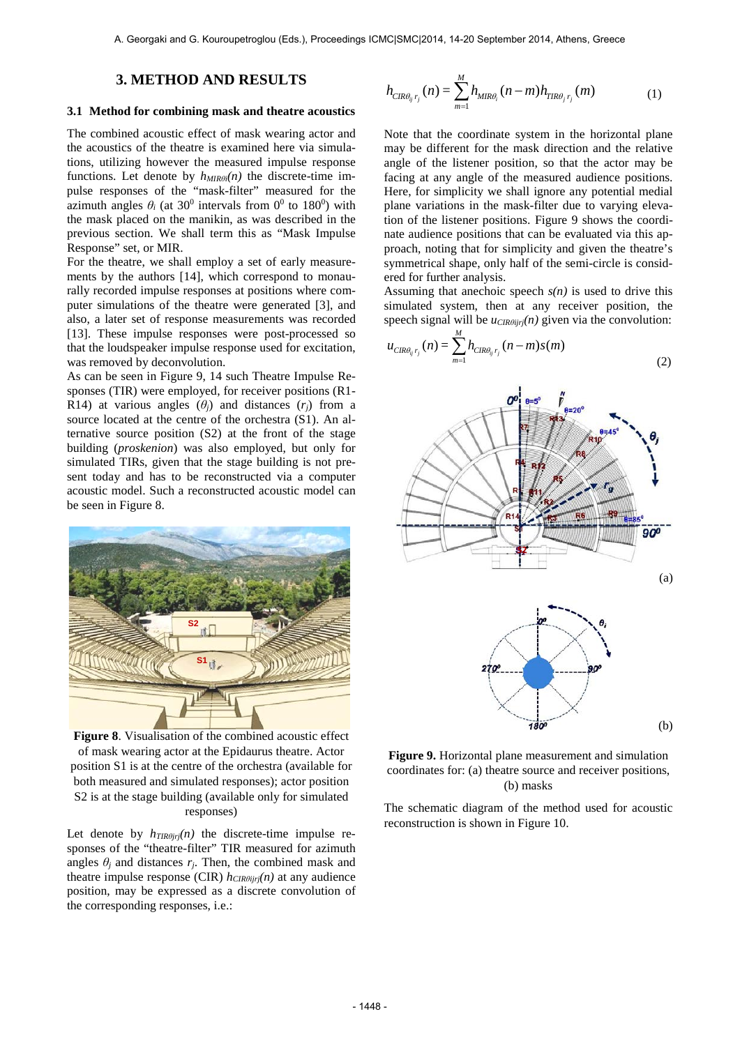## **3. METHOD AND RESULTS**

#### **3.1 Method for combining mask and theatre acoustics**

The combined acoustic effect of mask wearing actor and the acoustics of the theatre is examined here via simulations, utilizing however the measured impulse response functions. Let denote by *hMIRθi(n)* the discrete-time impulse responses of the "mask-filter" measured for the azimuth angles  $\theta_i$  (at 30<sup>0</sup> intervals from 0<sup>0</sup> to 180<sup>0</sup>) with the mask placed on the manikin, as was described in the previous section. We shall term this as "Mask Impulse Response" set, or MIR.

For the theatre, we shall employ a set of early measurements by the authors [14], which correspond to monaurally recorded impulse responses at positions where computer simulations of the theatre were generated [3], and also, a later set of response measurements was recorded [13]. These impulse responses were post-processed so that the loudspeaker impulse response used for excitation, was removed by deconvolution.

As can be seen in Figure 9, 14 such Theatre Impulse Responses (TIR) were employed, for receiver positions (R1- R14) at various angles  $(\theta_i)$  and distances  $(r_i)$  from a source located at the centre of the orchestra (S1). An alternative source position (S2) at the front of the stage building (*proskenion*) was also employed, but only for simulated TIRs, given that the stage building is not present today and has to be reconstructed via a computer acoustic model. Such a reconstructed acoustic model can be seen in Figure 8.



**Figure 8**. Visualisation of the combined acoustic effect of mask wearing actor at the Epidaurus theatre. Actor position S1 is at the centre of the orchestra (available for both measured and simulated responses); actor position S2 is at the stage building (available only for simulated responses)

Let denote by  $h_{TIR\theta jrj}(n)$  the discrete-time impulse responses of the "theatre-filter" TIR measured for azimuth angles  $\theta_j$  and distances  $r_j$ . Then, the combined mask and theatre impulse response (CIR)  $h_{CIR\theta ijri}(n)$  at any audience position, may be expressed as a discrete convolution of the corresponding responses, i.e.:

$$
h_{CIR\theta_{ij}r_j}(n) = \sum_{m=1}^{M} h_{MIR\theta_i}(n-m)h_{TIR\theta_jr_j}(m)
$$
 (1)

Note that the coordinate system in the horizontal plane may be different for the mask direction and the relative angle of the listener position, so that the actor may be facing at any angle of the measured audience positions. Here, for simplicity we shall ignore any potential medial plane variations in the mask-filter due to varying elevation of the listener positions. Figure 9 shows the coordinate audience positions that can be evaluated via this approach, noting that for simplicity and given the theatre's symmetrical shape, only half of the semi-circle is considered for further analysis.

Assuming that anechoic speech  $s(n)$  is used to drive this simulated system, then at any receiver position, the speech signal will be *ucIRθijrj*(*n*) given via the convolution:

$$
u_{CIR\theta_{ij}r_j}(n) = \sum_{m=1}^{M} h_{CIR\theta_{ij}r_j}(n-m)s(m)
$$
\n(2)



**Figure 9.** Horizontal plane measurement and simulation coordinates for: (a) theatre source and receiver positions, (b) masks

The schematic diagram of the method used for acoustic reconstruction is shown in Figure 10.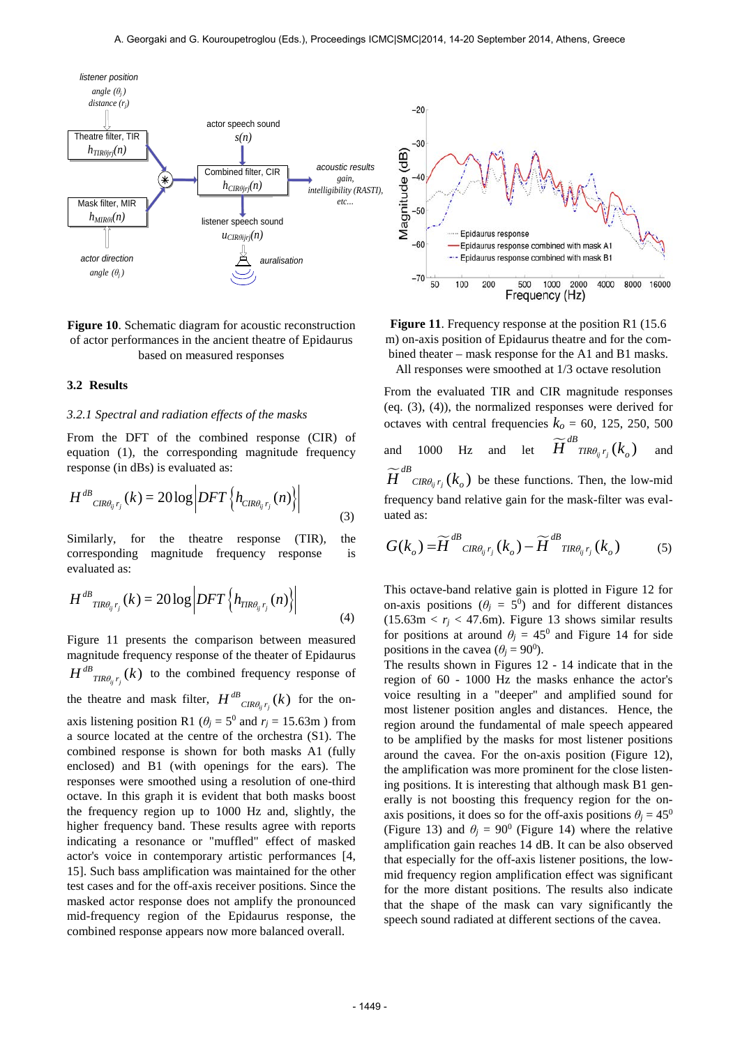

## **Figure 10**. Schematic diagram for acoustic reconstruction of actor performances in the ancient theatre of Epidaurus based on measured responses

### **3.2 Results**

## *3.2.1 Spectral and radiation effects of the masks*

From the DFT of the combined response (CIR) of equation (1), the corresponding magnitude frequency response (in dBs) is evaluated as:

$$
H^{dB}_{CIR\theta_{ij}r_j}(k) = 20\log\left|DFT\left\{h_{CIR\theta_{ij}r_j}(n)\right\}\right|
$$
\n(3)

Similarly, for the theatre response (TIR), the corresponding magnitude frequency response is evaluated as:

$$
H^{dB}_{TR\theta_{ij}r_j}(k) = 20\log\left|DFT\left\{h_{TR\theta_{ij}r_j}(n)\right\}\right|
$$
\n(4)

Figure 11 presents the comparison between measured magnitude frequency response of the theater of Epidaurus  $H^{dB}$ <sub>*TIR* $\theta_{ij}$ *r<sub>j</sub></sub> (k)* to the combined frequency response of</sub> the theatre and mask filter,  $H^{dB}_{CR\theta_{ij}r_j}(k)$  for the onaxis listening position R1 ( $\theta$ <sup>*j*</sup> = 5<sup>0</sup> and  $r$ <sup>*j*</sup> = 15.63m) from a source located at the centre of the orchestra (S1). The combined response is shown for both masks A1 (fully enclosed) and B1 (with openings for the ears). The responses were smoothed using a resolution of one-third octave. In this graph it is evident that both masks boost the frequency region up to 1000 Hz and, slightly, the higher frequency band. These results agree with reports indicating a resonance or "muffled" effect of masked actor's voice in contemporary artistic performances [4, 15]. Such bass amplification was maintained for the other test cases and for the off-axis receiver positions. Since the masked actor response does not amplify the pronounced mid-frequency region of the Epidaurus response, the combined response appears now more balanced overall.



Figure 11. Frequency response at the position R1 (15.6) m) on-axis position of Epidaurus theatre and for the combined theater – mask response for the A1 and B1 masks.

All responses were smoothed at 1/3 octave resolution

From the evaluated TIR and CIR magnitude responses (eq. (3), (4)), the normalized responses were derived for octaves with central frequencies  $k<sub>o</sub> = 60$ , 125, 250, 500 and 1000 Hz and let  $\widetilde{H}^{dB}_{TR\theta_{ij}r_j}(k_o)$  and  $\widetilde{H}^{dB}_{CR\theta_{ij}r_j}(k_o)$  be these functions. Then, the low-mid frequency band relative gain for the mask-filter was evaluated as:

$$
G(k_o) = \widetilde{H}^{dB}_{CIR\theta_{ij}r_j}(k_o) - \widetilde{H}^{dB}_{TIR\theta_{ij}r_j}(k_o)
$$
 (5)

This octave-band relative gain is plotted in Figure 12 for on-axis positions ( $\theta$ <sup>*j*</sup> = 5<sup>0</sup>) and for different distances  $(15.63 \text{m} < r_i < 47.6 \text{m})$ . Figure 13 shows similar results for positions at around  $\theta$ <sup>*j*</sup> = 45<sup>0</sup> and Figure 14 for side positions in the cavea ( $\theta$ <sup>*j*</sup> = 90<sup>0</sup>).

The results shown in Figures 12 - 14 indicate that in the region of 60 - 1000 Hz the masks enhance the actor's voice resulting in a "deeper" and amplified sound for most listener position angles and distances. Hence, the region around the fundamental of male speech appeared to be amplified by the masks for most listener positions around the cavea. For the on-axis position (Figure 12), the amplification was more prominent for the close listening positions. It is interesting that although mask B1 generally is not boosting this frequency region for the onaxis positions, it does so for the off-axis positions  $\theta$ <sup>*j*</sup> = 45<sup>0</sup> (Figure 13) and  $\theta$ <sup>*j*</sup> = 90<sup>0</sup> (Figure 14) where the relative amplification gain reaches 14 dB. It can be also observed that especially for the off-axis listener positions, the lowmid frequency region amplification effect was significant for the more distant positions. The results also indicate that the shape of the mask can vary significantly the speech sound radiated at different sections of the cavea.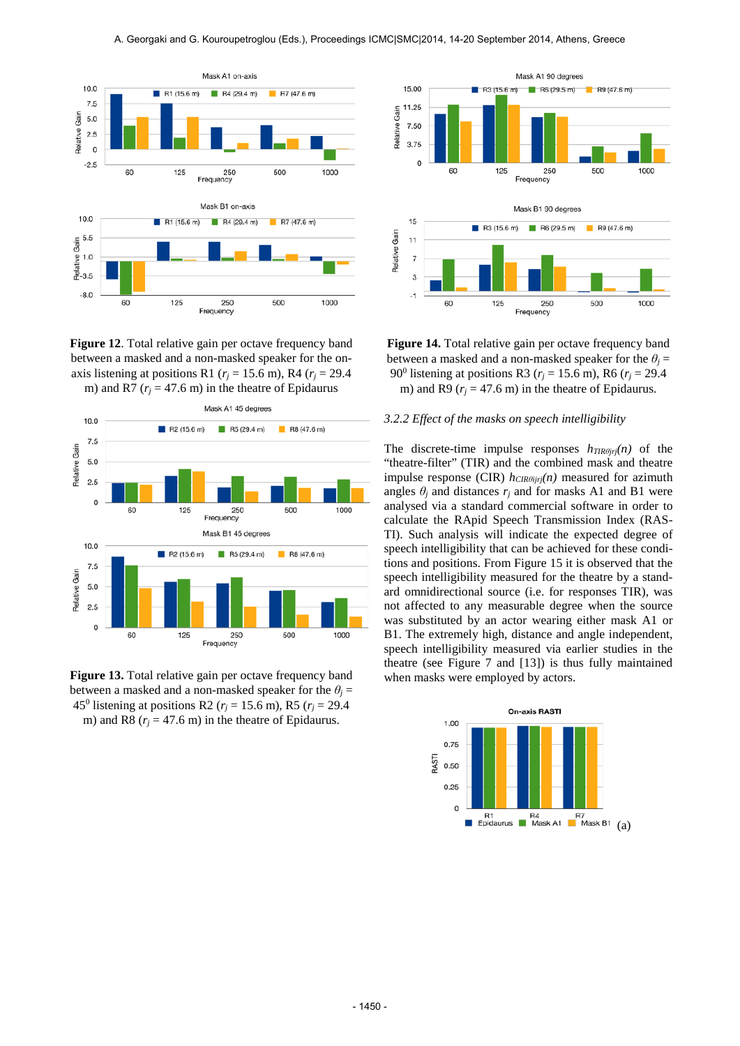

**Figure 12**. Total relative gain per octave frequency band between a masked and a non-masked speaker for the onaxis listening at positions R1 ( $r<sub>i</sub> = 15.6$  m), R4 ( $r<sub>i</sub> = 29.4$ ) m) and R7 ( $r_i$  = 47.6 m) in the theatre of Epidaurus



Figure 13. Total relative gain per octave frequency band between a masked and a non-masked speaker for the  $\theta$ <sup>*j*</sup> = 45<sup>0</sup> listening at positions R2 ( $r_j$  = 15.6 m), R5 ( $r_j$  = 29.4 m) and R8 ( $r_j$  = 47.6 m) in the theatre of Epidaurus.



**Figure 14.** Total relative gain per octave frequency band between a masked and a non-masked speaker for the  $\theta$ <sup>*j*</sup> = 90<sup>0</sup> listening at positions R3 ( $r_i$  = 15.6 m), R6 ( $r_i$  = 29.4 m) and R9 ( $r_i$  = 47.6 m) in the theatre of Epidaurus.

## *3.2.2 Effect of the masks on speech intelligibility*

The discrete-time impulse responses  $h_{TIR\theta j r j}(n)$  of the "theatre-filter" (TIR) and the combined mask and theatre impulse response (CIR)  $h_{CIR\theta ijri}(n)$  measured for azimuth angles  $\theta_i$  and distances  $r_i$  and for masks A1 and B1 were analysed via a standard commercial software in order to calculate the RApid Speech Transmission Index (RAS-TI). Such analysis will indicate the expected degree of speech intelligibility that can be achieved for these conditions and positions. From Figure 15 it is observed that the speech intelligibility measured for the theatre by a standard omnidirectional source (i.e. for responses TIR), was not affected to any measurable degree when the source was substituted by an actor wearing either mask A1 or B1. The extremely high, distance and angle independent, speech intelligibility measured via earlier studies in the theatre (see Figure 7 and [13]) is thus fully maintained when masks were employed by actors.

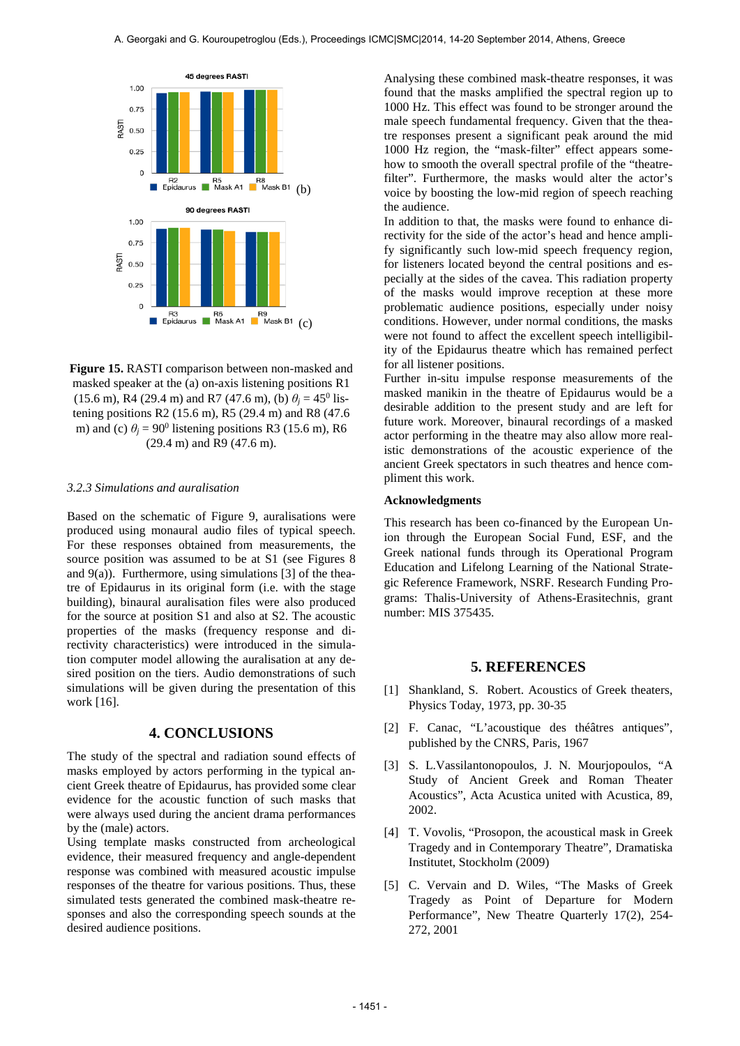

**Figure 15.** RASTI comparison between non-masked and masked speaker at the (a) on-axis listening positions R1 (15.6 m), R4 (29.4 m) and R7 (47.6 m), (b)  $\theta$ <sup>*j*</sup> = 45<sup>0</sup> listening positions R2 (15.6 m), R5 (29.4 m) and R8 (47.6 m) and (c)  $\theta$ <sup>*j*</sup> = 90<sup>0</sup> listening positions R3 (15.6 m), R6 (29.4 m) and R9 (47.6 m).

#### *3.2.3 Simulations and auralisation*

Based on the schematic of Figure 9, auralisations were produced using monaural audio files of typical speech. For these responses obtained from measurements, the source position was assumed to be at S1 (see Figures 8 and  $9(a)$ ). Furthermore, using simulations [3] of the theatre of Epidaurus in its original form (i.e. with the stage building), binaural auralisation files were also produced for the source at position S1 and also at S2. The acoustic properties of the masks (frequency response and directivity characteristics) were introduced in the simulation computer model allowing the auralisation at any desired position on the tiers. Audio demonstrations of such simulations will be given during the presentation of this work [16].

## **4. CONCLUSIONS**

The study of the spectral and radiation sound effects of masks employed by actors performing in the typical ancient Greek theatre of Epidaurus, has provided some clear evidence for the acoustic function of such masks that were always used during the ancient drama performances by the (male) actors.

Using template masks constructed from archeological evidence, their measured frequency and angle-dependent response was combined with measured acoustic impulse responses of the theatre for various positions. Thus, these simulated tests generated the combined mask-theatre responses and also the corresponding speech sounds at the desired audience positions.

Analysing these combined mask-theatre responses, it was found that the masks amplified the spectral region up to 1000 Hz. This effect was found to be stronger around the male speech fundamental frequency. Given that the theatre responses present a significant peak around the mid 1000 Hz region, the "mask-filter" effect appears somehow to smooth the overall spectral profile of the "theatrefilter". Furthermore, the masks would alter the actor's voice by boosting the low-mid region of speech reaching the audience.

In addition to that, the masks were found to enhance directivity for the side of the actor's head and hence amplify significantly such low-mid speech frequency region, for listeners located beyond the central positions and especially at the sides of the cavea. This radiation property of the masks would improve reception at these more problematic audience positions, especially under noisy conditions. However, under normal conditions, the masks were not found to affect the excellent speech intelligibility of the Epidaurus theatre which has remained perfect for all listener positions.

Further in-situ impulse response measurements of the masked manikin in the theatre of Epidaurus would be a desirable addition to the present study and are left for future work. Moreover, binaural recordings of a masked actor performing in the theatre may also allow more realistic demonstrations of the acoustic experience of the ancient Greek spectators in such theatres and hence compliment this work.

## **Acknowledgments**

This research has been co-financed by the European Union through the European Social Fund, ESF, and the Greek national funds through its Operational Program Education and Lifelong Learning of the National Strategic Reference Framework, NSRF. Research Funding Programs: Thalis-University of Athens-Erasitechnis, grant number: MIS 375435.

## **5. REFERENCES**

- [1] Shankland, S. Robert. Acoustics of Greek theaters, Physics Today, 1973, pp. 30-35
- [2] F. Canac, "L'acoustique des théâtres antiques", published by the CNRS, Paris, 1967
- [3] S. L.Vassilantonopoulos, J. N. Mourjopoulos, "A Study of Ancient Greek and Roman Theater Acoustics", Acta Acustica united with Acustica, 89, 2002.
- [4] T. Vovolis, "Prosopon, the acoustical mask in Greek Tragedy and in Contemporary Theatre", Dramatiska Institutet, Stockholm (2009)
- [5] C. Vervain and D. Wiles, "The Masks of Greek Tragedy as Point of Departure for Modern Performance", New Theatre Quarterly 17(2), 254- 272, 2001